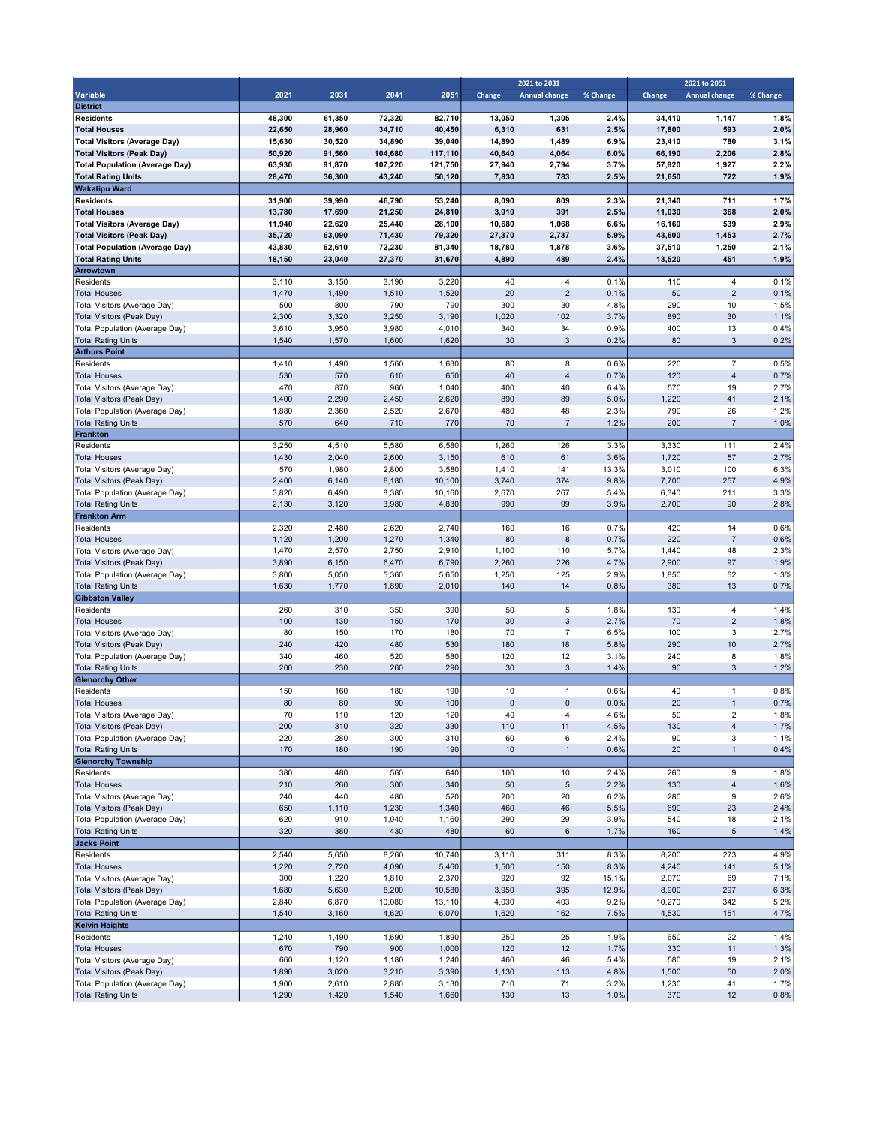|                                                                    |              |              |              |              | 2021 to 2031 |                      |              | 2021 to 2051 |                         |              |
|--------------------------------------------------------------------|--------------|--------------|--------------|--------------|--------------|----------------------|--------------|--------------|-------------------------|--------------|
| Variable                                                           | 2021         | 2031         | 2041         | 2051         | Change       | <b>Annual change</b> | % Change     | Change       | <b>Annual change</b>    | % Change     |
| <b>District</b>                                                    |              |              |              |              |              |                      |              |              |                         |              |
| <b>Residents</b>                                                   | 48,300       | 61,350       | 72,320       | 82,710       | 13,050       | 1,305                | 2.4%         | 34,410       | 1,147                   | 1.8%         |
| <b>Total Houses</b>                                                | 22,650       | 28,960       | 34,710       | 40,450       | 6,310        | 631                  | 2.5%         | 17,800       | 593                     | 2.0%         |
| <b>Total Visitors (Average Day)</b>                                | 15,630       | 30,520       | 34,890       | 39,040       | 14,890       | 1,489                | 6.9%         | 23,410       | 780                     | 3.1%         |
| <b>Total Visitors (Peak Day)</b>                                   | 50,920       | 91,560       | 104,680      | 117,110      | 40,640       | 4,064                | 6.0%         | 66,190       | 2,206                   | 2.8%         |
| <b>Total Population (Average Day)</b><br><b>Total Rating Units</b> | 63,930       | 91,870       | 107,220      | 121,750      | 27,940       | 2,794                | 3.7%         | 57,820       | 1,927                   | 2.2%         |
| <b>Wakatipu Ward</b>                                               | 28,470       | 36,300       | 43,240       | 50,120       | 7,830        | 783                  | 2.5%         | 21,650       | 722                     | 1.9%         |
| <b>Residents</b>                                                   | 31,900       | 39,990       | 46,790       | 53,240       | 8,090        | 809                  | 2.3%         | 21,340       | 711                     | 1.7%         |
| <b>Total Houses</b>                                                | 13,780       | 17,690       | 21,250       | 24,810       | 3,910        | 391                  | 2.5%         | 11,030       | 368                     | 2.0%         |
| <b>Total Visitors (Average Day)</b>                                | 11,940       | 22,620       | 25,440       | 28,100       | 10,680       | 1,068                | 6.6%         | 16,160       | 539                     | 2.9%         |
| <b>Total Visitors (Peak Day)</b>                                   | 35,720       | 63,090       | 71,430       | 79,320       | 27,370       | 2,737                | 5.9%         | 43,600       | 1,453                   | 2.7%         |
| <b>Total Population (Average Day)</b>                              | 43,830       | 62,610       | 72,230       | 81,340       | 18,780       | 1,878                | 3.6%         | 37,510       | 1,250                   | 2.1%         |
| <b>Total Rating Units</b>                                          | 18,150       | 23,040       | 27,370       | 31,670       | 4,890        | 489                  | 2.4%         | 13,520       | 451                     | 1.9%         |
| Arrowtown                                                          |              |              |              |              |              |                      |              |              |                         |              |
| Residents                                                          | 3,110        | 3,150        | 3,190        | 3,220        | 40           | $\overline{4}$       | 0.1%         | 110          | $\overline{4}$          | 0.1%         |
| <b>Total Houses</b>                                                | 1,470        | 1,490        | 1,510        | 1,520        | 20           | $\overline{2}$       | 0.1%         | 50           | $\overline{2}$          | 0.1%         |
| Total Visitors (Average Day)                                       | 500          | 800          | 790          | 790          | 300          | 30                   | 4.8%         | 290          | 10                      | 1.5%         |
| Total Visitors (Peak Day)                                          | 2,300        | 3,320        | 3,250        | 3,190        | 1,020        | 102                  | 3.7%         | 890          | 30                      | 1.1%         |
| Total Population (Average Day)                                     | 3,610        | 3,950        | 3,980        | 4,010        | 340          | 34                   | 0.9%         | 400          | 13                      | 0.4%         |
| <b>Total Rating Units</b>                                          | 1,540        | 1,570        | 1,600        | 1,620        | 30           | $\mathbf{3}$         | 0.2%         | 80           | $\mathbf{3}$            | 0.2%         |
| <b>Arthurs Point</b>                                               |              |              |              |              |              |                      |              |              |                         |              |
| Residents                                                          | 1,410        | 1,490        | 1,560        | 1,630        | 80           | 8                    | 0.6%         | 220          | $\overline{7}$          | 0.5%         |
| <b>Total Houses</b>                                                | 530          | 570          | 610          | 650          | 40           | $\overline{4}$       | 0.7%         | 120          | $\overline{4}$          | 0.7%         |
| Total Visitors (Average Day)                                       | 470          | 870          | 960          | 1,040        | 400          | 40                   | 6.4%         | 570          | 19                      | 2.7%         |
| Total Visitors (Peak Day)<br>Total Population (Average Day)        | 1,400        | 2,290        | 2,450        | 2,620        | 890<br>480   | 89                   | 5.0%<br>2.3% | 1,220<br>790 | 41<br>26                | 2.1%<br>1.2% |
| <b>Total Rating Units</b>                                          | 1,880<br>570 | 2,360<br>640 | 2,520<br>710 | 2,670<br>770 | 70           | 48<br>$\overline{7}$ | 1.2%         | 200          | $\overline{7}$          | 1.0%         |
| Frankton                                                           |              |              |              |              |              |                      |              |              |                         |              |
| Residents                                                          | 3,250        | 4,510        | 5,580        | 6,580        | 1,260        | 126                  | 3.3%         | 3,330        | 111                     | 2.4%         |
| <b>Total Houses</b>                                                | 1,430        | 2,040        | 2,600        | 3,150        | 610          | 61                   | 3.6%         | 1,720        | 57                      | 2.7%         |
| Total Visitors (Average Day)                                       | 570          | 1,980        | 2,800        | 3,580        | 1,410        | 141                  | 13.3%        | 3,010        | 100                     | 6.3%         |
| Total Visitors (Peak Day)                                          | 2,400        | 6,140        | 8,180        | 10,100       | 3,740        | 374                  | 9.8%         | 7,700        | 257                     | 4.9%         |
| Total Population (Average Day)                                     | 3,820        | 6,490        | 8,380        | 10,160       | 2,670        | 267                  | 5.4%         | 6,340        | 211                     | 3.3%         |
| <b>Total Rating Units</b>                                          | 2,130        | 3,120        | 3,980        | 4,830        | 990          | 99                   | 3.9%         | 2,700        | 90                      | 2.8%         |
| <b>Frankton Arm</b>                                                |              |              |              |              |              |                      |              |              |                         |              |
| Residents                                                          | 2,320        | 2,480        | 2,620        | 2,740        | 160          | 16                   | 0.7%         | 420          | 14                      | 0.6%         |
| <b>Total Houses</b>                                                | 1,120        | 1,200        | 1,270        | 1,340        | 80           | 8                    | 0.7%         | 220          | $\overline{7}$          | 0.6%         |
| Total Visitors (Average Day)                                       | 1,470        | 2,570        | 2,750        | 2,910        | 1,100        | 110                  | 5.7%         | 1,440        | 48                      | 2.3%         |
| Total Visitors (Peak Day)                                          | 3,890        | 6,150        | 6,470        | 6,790        | 2,260        | 226                  | 4.7%         | 2,900        | 97                      | 1.9%         |
| Total Population (Average Day)                                     | 3,800        | 5,050        | 5,360        | 5,650        | 1,250        | 125                  | 2.9%         | 1,850        | 62                      | 1.3%         |
| <b>Total Rating Units</b>                                          | 1,630        | 1,770        | 1,890        | 2,010        | 140          | 14                   | 0.8%         | 380          | 13                      | 0.7%         |
| <b>Gibbston Valley</b>                                             |              |              |              |              |              |                      |              |              |                         |              |
| Residents                                                          | 260          | 310          | 350          | 390          | 50           | 5                    | 1.8%         | 130          | 4                       | 1.4%         |
| <b>Total Houses</b>                                                | 100          | 130          | 150          | 170          | 30           | 3                    | 2.7%         | 70           | $\overline{2}$          | 1.8%         |
| Total Visitors (Average Day)<br>Total Visitors (Peak Day)          | 80<br>240    | 150<br>420   | 170<br>480   | 180<br>530   | 70<br>180    | $\overline{7}$<br>18 | 6.5%<br>5.8% | 100<br>290   | 3<br>10                 | 2.7%<br>2.7% |
| Total Population (Average Day)                                     | 340          | 460          | 520          | 580          | 120          | 12                   | 3.1%         | 240          | 8                       | 1.8%         |
| <b>Total Rating Units</b>                                          | 200          | 230          | 260          | 290          | 30           | 3                    | 1.4%         | 90           | 3                       | 1.2%         |
| <b>Glenorchy Other</b>                                             |              |              |              |              |              |                      |              |              |                         |              |
| Residents                                                          | 150          | 160          | 180          | 190          | 10           | $\mathbf{1}$         | 0.6%         | 40           | $\mathbf{1}$            | 0.8%         |
| <b>Total Houses</b>                                                | 80           | 80           | 90           | 100          | $\pmb{0}$    | $\mathsf 0$          | 0.0%         | 20           | $\mathbf{1}$            | 0.7%         |
| Total Visitors (Average Day)                                       | 70           | 110          | 120          | 120          | 40           | 4                    | 4.6%         | 50           | 2                       | 1.8%         |
| <b>Total Visitors (Peak Day)</b>                                   | 200          | 310          | 320          | 330          | 110          | 11                   | 4.5%         | 130          | $\overline{\mathbf{4}}$ | 1.7%         |
| Total Population (Average Day)                                     | 220          | 280          | 300          | 310          | 60           | 6                    | 2.4%         | 90           | 3                       | 1.1%         |
| <b>Total Rating Units</b>                                          | 170          | 180          | 190          | 190          | $10$         | $\mathbf{1}$         | 0.6%         | 20           | $\mathbf{1}$            | 0.4%         |
| <b>Glenorchy Township</b>                                          |              |              |              |              |              |                      |              |              |                         |              |
| Residents                                                          | 380          | 480          | 560          | 640          | 100          | 10                   | 2.4%         | 260          | 9                       | 1.8%         |
| <b>Total Houses</b>                                                | 210          | 260          | 300          | 340          | 50           | $\,$ 5 $\,$          | 2.2%         | 130          | $\overline{4}$          | 1.6%         |
| Total Visitors (Average Day)                                       | 240          | 440          | 480          | 520          | 200          | 20                   | 6.2%         | 280          | 9                       | 2.6%         |
| Total Visitors (Peak Day)                                          | 650          | 1,110        | 1,230        | 1,340        | 460          | 46                   | 5.5%         | 690          | 23                      | 2.4%         |
| Total Population (Average Day)                                     | 620          | 910          | 1,040        | 1,160        | 290          | 29                   | 3.9%         | 540          | 18                      | 2.1%         |
| <b>Total Rating Units</b>                                          | 320          | 380          | 430          | 480          | 60           | $\,6\,$              | 1.7%         | 160          | $\,$ 5 $\,$             | 1.4%         |
| <b>Jacks Point</b><br>Residents                                    | 2,540        | 5,650        | 8,260        | 10,740       | 3,110        | 311                  | 8.3%         | 8,200        | 273                     | 4.9%         |
| <b>Total Houses</b>                                                | 1,220        | 2,720        | 4,090        | 5,460        | 1,500        | 150                  | 8.3%         | 4,240        | 141                     | 5.1%         |
| Total Visitors (Average Day)                                       | 300          | 1,220        | 1,810        | 2,370        | 920          | 92                   | 15.1%        | 2,070        | 69                      | 7.1%         |
| Total Visitors (Peak Day)                                          | 1,680        | 5,630        | 8,200        | 10,580       | 3,950        | 395                  | 12.9%        | 8,900        | 297                     | 6.3%         |
| <b>Total Population (Average Day)</b>                              | 2,840        | 6,870        | 10,080       | 13,110       | 4,030        | 403                  | 9.2%         | 10,270       | 342                     | 5.2%         |
| <b>Total Rating Units</b>                                          | 1,540        | 3,160        | 4,620        | 6,070        | 1,620        | 162                  | 7.5%         | 4,530        | 151                     | 4.7%         |
| <b>Kelvin Heights</b>                                              |              |              |              |              |              |                      |              |              |                         |              |
| Residents                                                          | 1,240        | 1,490        | 1,690        | 1,890        | 250          | 25                   | 1.9%         | 650          | 22                      | 1.4%         |
| <b>Total Houses</b>                                                | 670          | 790          | 900          | 1,000        | 120          | 12                   | 1.7%         | 330          | 11                      | 1.3%         |
| Total Visitors (Average Day)                                       | 660          | 1,120        | 1,180        | 1,240        | 460          | 46                   | 5.4%         | 580          | 19                      | 2.1%         |
| <b>Total Visitors (Peak Day)</b>                                   | 1,890        | 3,020        | 3,210        | 3,390        | 1,130        | 113                  | 4.8%         | 1,500        | $50\,$                  | 2.0%         |
| Total Population (Average Day)                                     | 1,900        | 2,610        | 2,880        | 3,130        | 710          | 71                   | 3.2%         | 1,230        | 41                      | 1.7%         |
| <b>Total Rating Units</b>                                          | 1,290        | 1,420        | 1,540        | 1,660        | 130          | 13                   | 1.0%         | 370          | 12                      | 0.8%         |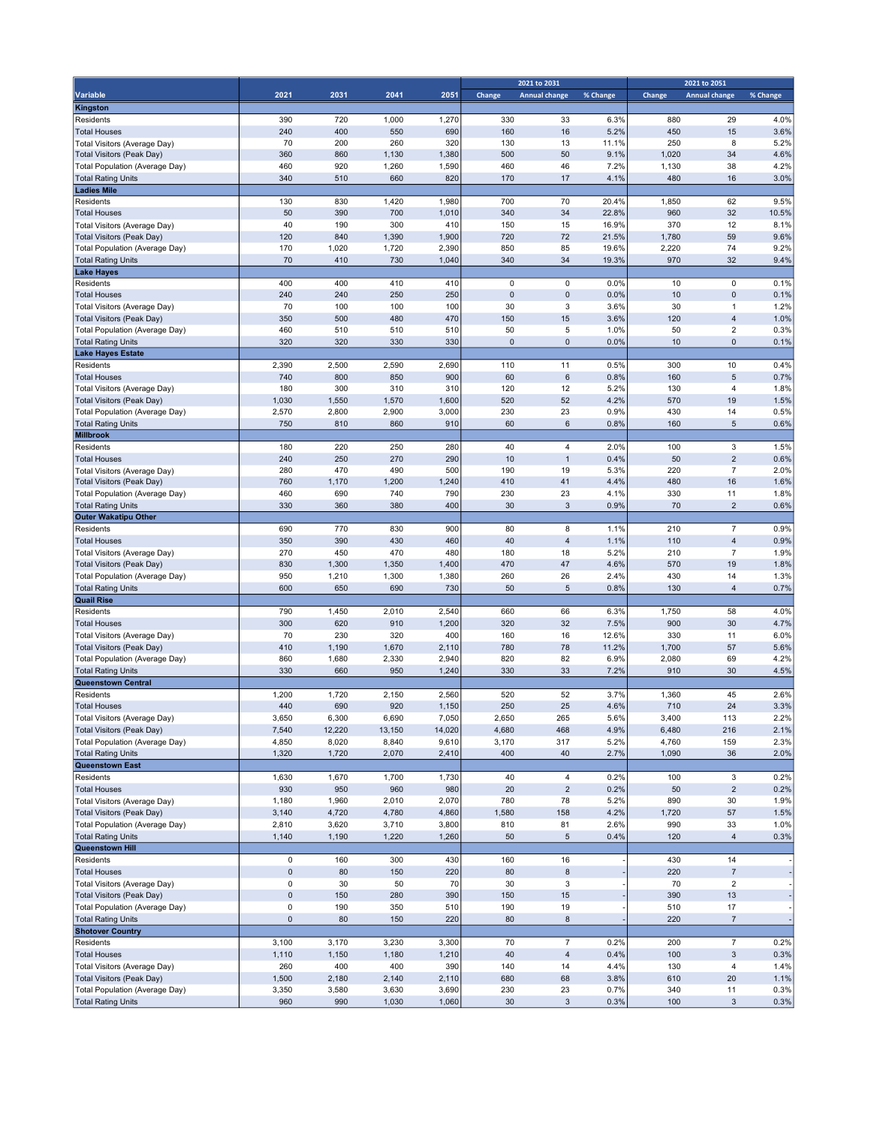|                                                             |              |              |            |              | 2021 to 2031      |                         |              | 2021 to 2051 |                                  |              |  |
|-------------------------------------------------------------|--------------|--------------|------------|--------------|-------------------|-------------------------|--------------|--------------|----------------------------------|--------------|--|
| Variable                                                    | 2021         | 2031         | 2041       | 2051         | Change            | <b>Annual change</b>    | % Change     | Change       | <b>Annual change</b>             | % Change     |  |
| Kingston                                                    |              |              |            |              |                   |                         |              |              |                                  |              |  |
| Residents                                                   | 390          | 720          | 1,000      | 1,270        | 330               | 33                      | 6.3%         | 880          | 29                               | 4.0%         |  |
| <b>Total Houses</b>                                         | 240          | 400          | 550        | 690          | 160               | 16                      | 5.2%         | 450          | 15                               | 3.6%         |  |
| Total Visitors (Average Day)                                | 70           | 200          | 260        | 320          | 130               | 13                      | 11.1%        | 250          | 8                                | 5.2%         |  |
| <b>Total Visitors (Peak Day)</b>                            | 360          | 860          | 1,130      | 1,380        | 500               | 50                      | 9.1%         | 1,020        | 34                               | 4.6%         |  |
| Total Population (Average Day)                              | 460          | 920          | 1,260      | 1,590        | 460               | 46                      | 7.2%         | 1,130        | 38                               | 4.2%         |  |
| <b>Total Rating Units</b>                                   | 340          | 510          | 660        | 820          | 170               | 17                      | 4.1%         | 480          | 16                               | 3.0%         |  |
| <b>Ladies Mile</b>                                          |              |              |            |              |                   |                         |              |              |                                  |              |  |
| Residents                                                   | 130          | 830          | 1,420      | 1,980        | 700               | 70                      | 20.4%        | 1,850        | 62                               | 9.5%         |  |
| <b>Total Houses</b>                                         | 50           | 390          | 700        | 1,010        | 340               | 34                      | 22.8%        | 960          | 32                               | 10.5%        |  |
| Total Visitors (Average Day)                                | 40           | 190          | 300        | 410          | 150               | 15                      | 16.9%        | 370          | 12                               | 8.1%         |  |
| <b>Total Visitors (Peak Day)</b>                            | 120          | 840          | 1,390      | 1,900        | 720               | 72                      | 21.5%        | 1,780        | 59                               | 9.6%         |  |
| Total Population (Average Day)                              | 170          | 1,020        | 1,720      | 2,390        | 850               | 85                      | 19.6%        | 2,220        | 74                               | 9.2%         |  |
| <b>Total Rating Units</b>                                   | 70           | 410          | 730        | 1,040        | 340               | 34                      | 19.3%        | 970          | 32                               | 9.4%         |  |
| <b>Lake Hayes</b>                                           |              |              |            |              |                   |                         |              |              |                                  |              |  |
| Residents                                                   | 400          | 400          | 410        | 410          | $\mathbf 0$       | 0                       | 0.0%         | 10           | 0                                | 0.1%         |  |
| <b>Total Houses</b>                                         | 240          | 240          | 250        | 250          | $\mathbf{0}$      | $\pmb{0}$               | 0.0%         | 10           | $\overline{0}$                   | 0.1%         |  |
| Total Visitors (Average Day)                                | 70           | 100          | 100        | 100          | 30                | 3                       | 3.6%         | 30           | $\mathbf{1}$                     | 1.2%         |  |
| <b>Total Visitors (Peak Day)</b>                            | 350          | 500          | 480        | 470          | 150               | 15                      | 3.6%         | 120          | 4                                | 1.0%         |  |
| Total Population (Average Day)                              | 460<br>320   | 510<br>320   | 510<br>330 | 510<br>330   | 50<br>$\mathbf 0$ | 5<br>$\pmb{0}$          | 1.0%<br>0.0% | 50<br>10     | $\overline{2}$<br>$\overline{0}$ | 0.3%<br>0.1% |  |
| <b>Total Rating Units</b><br><b>Lake Hayes Estate</b>       |              |              |            |              |                   |                         |              |              |                                  |              |  |
| Residents                                                   |              |              |            |              |                   |                         |              |              | 10                               | 0.4%         |  |
|                                                             | 2,390<br>740 | 2,500<br>800 | 2,590      | 2,690<br>900 | 110<br>60         | 11<br>$6\phantom{1}6$   | 0.5%<br>0.8% | 300<br>160   | 5                                | 0.7%         |  |
| <b>Total Houses</b>                                         | 180          | 300          | 850<br>310 | 310          | 120               | 12                      | 5.2%         | 130          | 4                                | 1.8%         |  |
| Total Visitors (Average Day)<br>Total Visitors (Peak Day)   | 1,030        | 1,550        | 1,570      | 1,600        | 520               | 52                      | 4.2%         | 570          | 19                               | 1.5%         |  |
|                                                             | 2,570        | 2,800        | 2,900      | 3,000        | 230               | 23                      | 0.9%         | 430          | 14                               | 0.5%         |  |
| Total Population (Average Day)<br><b>Total Rating Units</b> | 750          | 810          | 860        | 910          | 60                | 6                       | 0.8%         | 160          | 5                                | 0.6%         |  |
| <b>Millbrook</b>                                            |              |              |            |              |                   |                         |              |              |                                  |              |  |
| Residents                                                   | 180          | 220          | 250        | 280          | 40                | 4                       | 2.0%         | 100          | 3                                | 1.5%         |  |
| <b>Total Houses</b>                                         | 240          | 250          | 270        | 290          | 10                | $\overline{1}$          | 0.4%         | 50           | $\overline{2}$                   | 0.6%         |  |
| Total Visitors (Average Day)                                | 280          | 470          | 490        | 500          | 190               | 19                      | 5.3%         | 220          | 7                                | 2.0%         |  |
| Total Visitors (Peak Day)                                   | 760          | 1,170        | 1,200      | 1,240        | 410               | 41                      | 4.4%         | 480          | 16                               | 1.6%         |  |
| Total Population (Average Day)                              | 460          | 690          | 740        | 790          | 230               | 23                      | 4.1%         | 330          | 11                               | 1.8%         |  |
| <b>Total Rating Units</b>                                   | 330          | 360          | 380        | 400          | 30                | 3                       | 0.9%         | 70           | $\overline{2}$                   | 0.6%         |  |
| <b>Outer Wakatipu Other</b>                                 |              |              |            |              |                   |                         |              |              |                                  |              |  |
| Residents                                                   | 690          | 770          | 830        | 900          | 80                | 8                       | 1.1%         | 210          | $\overline{7}$                   | 0.9%         |  |
| <b>Total Houses</b>                                         | 350          | 390          | 430        | 460          | 40                | $\overline{4}$          | 1.1%         | 110          | 4                                | 0.9%         |  |
| Total Visitors (Average Day)                                | 270          | 450          | 470        | 480          | 180               | 18                      | 5.2%         | 210          | $\overline{7}$                   | 1.9%         |  |
| <b>Total Visitors (Peak Day)</b>                            | 830          | 1,300        | 1,350      | 1,400        | 470               | 47                      | 4.6%         | 570          | 19                               | 1.8%         |  |
| Total Population (Average Day)                              | 950          | 1,210        | 1,300      | 1,380        | 260               | 26                      | 2.4%         | 430          | 14                               | 1.3%         |  |
| <b>Total Rating Units</b>                                   | 600          | 650          | 690        | 730          | 50                | $\,$ 5 $\,$             | 0.8%         | 130          | 4                                | 0.7%         |  |
| <b>Quail Rise</b>                                           |              |              |            |              |                   |                         |              |              |                                  |              |  |
| Residents                                                   | 790          | 1,450        | 2,010      | 2,540        | 660               | 66                      | 6.3%         | 1,750        | 58                               | 4.0%         |  |
| <b>Total Houses</b>                                         | 300          | 620          | 910        | 1,200        | 320               | 32                      | 7.5%         | 900          | 30                               | 4.7%         |  |
| Total Visitors (Average Day)                                | 70           | 230          | 320        | 400          | 160               | 16                      | 12.6%        | 330          | 11                               | 6.0%         |  |
| Total Visitors (Peak Day)                                   | 410          | 1,190        | 1,670      | 2,110        | 780               | 78                      | 11.2%        | 1,700        | 57                               | 5.6%         |  |
| Total Population (Average Day)                              | 860          | 1,680        | 2,330      | 2,940        | 820               | 82                      | 6.9%         | 2,080        | 69                               | 4.2%         |  |
| <b>Total Rating Units</b>                                   | 330          | 660          | 950        | 1,240        | 330               | 33                      | 7.2%         | 910          | 30                               | 4.5%         |  |
| <b>Queenstown Central</b>                                   |              |              |            |              |                   |                         |              |              |                                  |              |  |
| Residents                                                   | 1,200        | 1,720        | 2,150      | 2,560        | 520               | 52                      | 3.7%         | 1,360        | 45                               | 2.6%         |  |
| <b>Total Houses</b>                                         | 440          | 690          | 920        | 1,150        | 250               | 25                      | 4.6%         | 710          | 24                               | 3.3%         |  |
| Total Visitors (Average Day)                                | 3,650        | 6,300        | 6,690      | 7,050        | 2,650             | 265                     | 5.6%         | 3,400        | 113                              | 2.2%         |  |
| Total Visitors (Peak Day)                                   | 7,540        | 12,220       | 13,150     | 14,020       | 4,680             | 468                     | 4.9%         | 6,480        | 216                              | 2.1%         |  |
| Total Population (Average Day)                              | 4,850        | 8,020        | 8,840      | 9,610        | 3,170             | 317                     | 5.2%         | 4,760        | 159                              | 2.3%         |  |
| <b>Total Rating Units</b>                                   | 1,320        | 1,720        | 2,070      | 2,410        | 400               | 40                      | 2.7%         | 1,090        | 36                               | 2.0%         |  |
| <b>Queenstown East</b>                                      |              |              |            |              |                   |                         |              |              |                                  |              |  |
| Residents                                                   | 1,630        | 1,670        | 1,700      | 1,730        | 40                | $\overline{\mathbf{4}}$ | 0.2%         | 100          | 3                                | 0.2%         |  |
| <b>Total Houses</b>                                         | 930          | 950          | 960        | 980          | 20                | $\overline{c}$          | 0.2%         | 50           | $\overline{\mathbf{c}}$          | 0.2%         |  |
| Total Visitors (Average Day)                                | 1,180        | 1,960        | 2,010      | 2,070        | 780               | 78                      | 5.2%         | 890          | 30                               | 1.9%         |  |
| <b>Total Visitors (Peak Day)</b>                            | 3,140        | 4,720        | 4,780      | 4,860        | 1,580             | 158                     | 4.2%         | 1,720        | 57                               | 1.5%         |  |
| Total Population (Average Day)                              | 2,810        | 3,620        | 3,710      | 3,800        | 810               | 81                      | 2.6%         | 990          | 33                               | 1.0%         |  |
| <b>Total Rating Units</b>                                   | 1,140        | 1,190        | 1,220      | 1,260        | 50                | $\,$ 5 $\,$             | 0.4%         | 120          | 4                                | 0.3%         |  |
| <b>Queenstown Hill</b>                                      |              |              |            |              |                   |                         |              |              |                                  |              |  |
| Residents                                                   | 0            | 160          | 300        | 430          | 160               | $16$                    |              | 430          | 14                               |              |  |
| <b>Total Houses</b>                                         | $\pmb{0}$    | 80           | 150        | 220          | 80                | 8                       |              | 220          | $\overline{\mathfrak{c}}$        |              |  |
| Total Visitors (Average Day)                                | 0            | 30           | 50         | 70           | 30                | 3                       |              | 70           | $\overline{\mathbf{c}}$          |              |  |
| <b>Total Visitors (Peak Day)</b>                            | $\pmb{0}$    | 150          | 280        | 390          | 150               | 15                      |              | 390          | 13                               |              |  |
| Total Population (Average Day)                              | 0            | 190          | 350        | 510          | 190               | 19                      |              | 510          | 17                               |              |  |
| <b>Total Rating Units</b>                                   | $\pmb{0}$    | 80           | 150        | 220          | 80                | $\bf 8$                 |              | 220          | $\overline{7}$                   |              |  |
| <b>Shotover Country</b>                                     |              |              |            |              |                   |                         |              |              |                                  |              |  |
| Residents                                                   | 3,100        | 3,170        | 3,230      | 3,300        | 70                | $\overline{7}$          | 0.2%         | 200          | $\overline{\mathbf{7}}$          | 0.2%         |  |
| <b>Total Houses</b>                                         | 1,110        | 1,150        | 1,180      | 1,210        | 40                | $\overline{4}$          | 0.4%         | 100          | 3                                | 0.3%         |  |
| Total Visitors (Average Day)                                | 260          | 400          | 400        | 390          | 140               | 14                      | 4.4%         | 130          | 4                                | 1.4%         |  |
| Total Visitors (Peak Day)                                   | 1,500        | 2,180        | 2,140      | 2,110        | 680               | 68                      | 3.8%         | 610          | 20                               | 1.1%         |  |
| Total Population (Average Day)                              | 3,350        | 3,580        | 3,630      | 3,690        | 230               | 23                      | 0.7%         | 340          | 11                               | 0.3%         |  |
| <b>Total Rating Units</b>                                   | 960          | 990          | 1,030      | 1,060        | 30                | $\mathbf{3}$            | 0.3%         | 100          | 3                                | 0.3%         |  |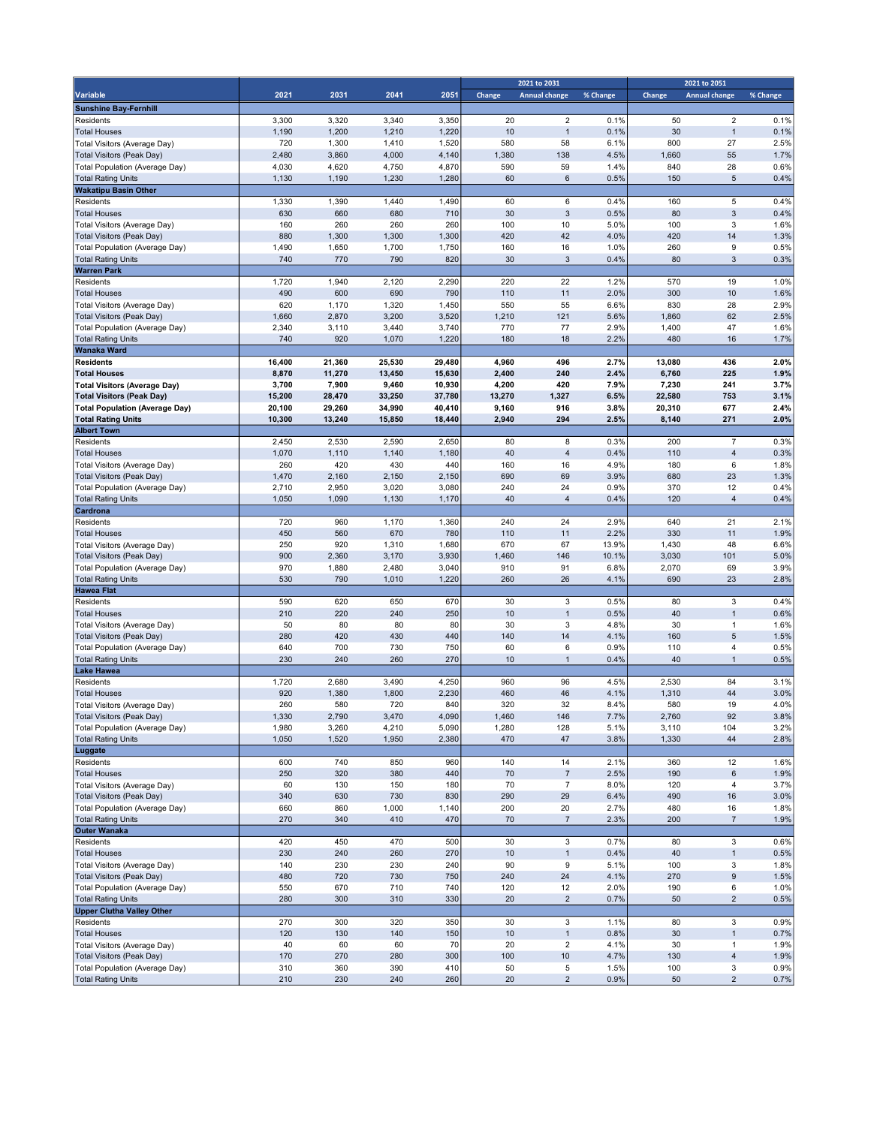|                                                                    |                |                |                |                | 2021 to 2031 |                      |              | 2021 to 2051   |                      |              |
|--------------------------------------------------------------------|----------------|----------------|----------------|----------------|--------------|----------------------|--------------|----------------|----------------------|--------------|
| Variable                                                           | 2021           | 2031           | 2041           | 2051           | Change       | <b>Annual change</b> | % Change     | Change         | <b>Annual change</b> | % Change     |
| <b>Sunshine Bay-Fernhill</b>                                       |                |                |                |                |              |                      |              |                |                      |              |
| Residents                                                          | 3,300          | 3,320          | 3,340          | 3,350          | 20           | $\overline{2}$       | 0.1%         | 50             | $\overline{2}$       | 0.1%         |
| <b>Total Houses</b>                                                | 1,190          | 1,200          | 1,210          | 1,220          | 10           | $\mathbf{1}$         | 0.1%         | 30             | $\mathbf{1}$         | 0.1%         |
| Total Visitors (Average Day)                                       | 720            | 1,300          | 1,410          | 1,520          | 580          | 58                   | 6.1%         | 800            | 27                   | 2.5%         |
| Total Visitors (Peak Day)                                          | 2,480          | 3,860          | 4,000          | 4,140          | 1,380        | 138                  | 4.5%         | 1,660          | 55                   | 1.7%         |
| Total Population (Average Day)<br><b>Total Rating Units</b>        | 4,030<br>1,130 | 4,620<br>1,190 | 4,750<br>1,230 | 4,870<br>1,280 | 590<br>60    | 59<br>$\,6$          | 1.4%<br>0.5% | 840<br>150     | 28<br>$\sqrt{5}$     | 0.6%<br>0.4% |
| <b>Wakatipu Basin Other</b>                                        |                |                |                |                |              |                      |              |                |                      |              |
| Residents                                                          | 1,330          | 1,390          | 1,440          | 1,490          | 60           | 6                    | 0.4%         | 160            | 5                    | 0.4%         |
| <b>Total Houses</b>                                                | 630            | 660            | 680            | 710            | 30           | 3                    | 0.5%         | 80             | $\mathbf{3}$         | 0.4%         |
| Total Visitors (Average Day)                                       | 160            | 260            | 260            | 260            | 100          | 10                   | 5.0%         | 100            | 3                    | 1.6%         |
| Total Visitors (Peak Day)                                          | 880            | 1,300          | 1,300          | 1,300          | 420          | 42                   | 4.0%         | 420            | 14                   | 1.3%         |
| Total Population (Average Day)                                     | 1,490          | 1,650          | 1,700          | 1,750          | 160          | 16                   | 1.0%         | 260            | $\boldsymbol{9}$     | 0.5%         |
| <b>Total Rating Units</b>                                          | 740            | 770            | 790            | 820            | 30           | $\mathbf{3}$         | 0.4%         | 80             | 3                    | 0.3%         |
| <b>Warren Park</b>                                                 |                |                |                |                |              |                      |              |                |                      |              |
| Residents                                                          | 1,720          | 1,940          | 2,120          | 2,290          | 220          | 22                   | 1.2%         | 570            | 19                   | 1.0%         |
| <b>Total Houses</b>                                                | 490            | 600            | 690            | 790            | 110          | 11                   | 2.0%         | 300            | 10                   | 1.6%         |
| Total Visitors (Average Day)                                       | 620            | 1,170          | 1,320          | 1,450          | 550          | 55                   | 6.6%         | 830            | 28                   | 2.9%         |
| Total Visitors (Peak Day)                                          | 1,660<br>2,340 | 2,870<br>3,110 | 3,200<br>3,440 | 3,520<br>3,740 | 1,210<br>770 | 121<br>77            | 5.6%<br>2.9% | 1,860<br>1,400 | 62<br>47             | 2.5%<br>1.6% |
| Total Population (Average Day)<br><b>Total Rating Units</b>        | 740            | 920            | 1,070          | 1,220          | 180          | 18                   | 2.2%         | 480            | 16                   | 1.7%         |
| <b>Wanaka Ward</b>                                                 |                |                |                |                |              |                      |              |                |                      |              |
| <b>Residents</b>                                                   | 16,400         | 21,360         | 25,530         | 29,480         | 4,960        | 496                  | 2.7%         | 13,080         | 436                  | 2.0%         |
| <b>Total Houses</b>                                                | 8,870          | 11,270         | 13,450         | 15,630         | 2,400        | 240                  | 2.4%         | 6,760          | 225                  | 1.9%         |
| <b>Total Visitors (Average Day)</b>                                | 3,700          | 7,900          | 9,460          | 10,930         | 4,200        | 420                  | 7.9%         | 7,230          | 241                  | 3.7%         |
| <b>Total Visitors (Peak Day)</b>                                   | 15,200         | 28,470         | 33,250         | 37,780         | 13,270       | 1,327                | 6.5%         | 22,580         | 753                  | 3.1%         |
| <b>Total Population (Average Day)</b>                              | 20,100         | 29,260         | 34,990         | 40,410         | 9,160        | 916                  | 3.8%         | 20,310         | 677                  | 2.4%         |
| <b>Total Rating Units</b>                                          | 10,300         | 13,240         | 15,850         | 18,440         | 2,940        | 294                  | 2.5%         | 8,140          | 271                  | 2.0%         |
| <b>Albert Town</b>                                                 |                |                |                |                |              |                      |              |                |                      |              |
| Residents                                                          | 2,450          | 2,530          | 2,590          | 2,650          | 80           | 8                    | 0.3%         | 200            | $\overline{7}$       | 0.3%         |
| <b>Total Houses</b>                                                | 1,070<br>260   | 1,110<br>420   | 1,140<br>430   | 1,180<br>440   | 40<br>160    | $\overline{4}$<br>16 | 0.4%<br>4.9% | 110<br>180     | $\overline{4}$<br>6  | 0.3%<br>1.8% |
| Total Visitors (Average Day)<br>Total Visitors (Peak Day)          | 1,470          | 2,160          | 2,150          | 2,150          | 690          | 69                   | 3.9%         | 680            | 23                   | 1.3%         |
| Total Population (Average Day)                                     | 2,710          | 2,950          | 3,020          | 3,080          | 240          | 24                   | 0.9%         | 370            | 12                   | 0.4%         |
| <b>Total Rating Units</b>                                          | 1,050          | 1,090          | 1,130          | 1,170          | 40           | $\overline{4}$       | 0.4%         | 120            | $\overline{4}$       | 0.4%         |
| Cardrona                                                           |                |                |                |                |              |                      |              |                |                      |              |
| Residents                                                          | 720            | 960            | 1,170          | 1,360          | 240          | 24                   | 2.9%         | 640            | 21                   | 2.1%         |
| <b>Total Houses</b>                                                | 450            | 560            | 670            | 780            | 110          | 11                   | 2.2%         | 330            | 11                   | 1.9%         |
| Total Visitors (Average Day)                                       | 250            | 920            | 1,310          | 1,680          | 670          | 67                   | 13.9%        | 1,430          | 48                   | 6.6%         |
| Total Visitors (Peak Day)                                          | 900            | 2,360          | 3,170          | 3,930          | 1,460        | 146                  | 10.1%        | 3,030          | 101                  | 5.0%         |
| Total Population (Average Day)                                     | 970            | 1,880          | 2,480          | 3,040          | 910          | 91                   | 6.8%         | 2,070          | 69                   | 3.9%         |
| <b>Total Rating Units</b>                                          | 530            | 790            | 1,010          | 1,220          | 260          | 26                   | 4.1%         | 690            | 23                   | 2.8%         |
| <b>Hawea Flat</b>                                                  | 590            | 620            | 650            | 670            | 30           | 3                    | 0.5%         | 80             | 3                    | 0.4%         |
| Residents<br><b>Total Houses</b>                                   | 210            | 220            | 240            | 250            | 10           | $\overline{1}$       | 0.5%         | 40             | $\mathbf{1}$         | 0.6%         |
| Total Visitors (Average Day)                                       | 50             | 80             | 80             | 80             | 30           | 3                    | 4.8%         | 30             | $\mathbf{1}$         | 1.6%         |
| Total Visitors (Peak Day)                                          | 280            | 420            | 430            | 440            | 140          | 14                   | 4.1%         | 160            | $\sqrt{5}$           | 1.5%         |
| Total Population (Average Day)                                     | 640            | 700            | 730            | 750            | 60           | 6                    | 0.9%         | 110            | 4                    | 0.5%         |
| <b>Total Rating Units</b>                                          | 230            | 240            | 260            | 270            | 10           | $\mathbf{1}$         | 0.4%         | 40             | $\mathbf{1}$         | 0.5%         |
| <b>Lake Hawea</b>                                                  |                |                |                |                |              |                      |              |                |                      |              |
| Residents                                                          | 1,720          | 2,680          | 3,490          | 4,250          | 960          | 96                   | 4.5%         | 2,530          | 84                   | 3.1%         |
| <b>Total Houses</b>                                                | 920            | 1,380          | 1,800          | 2,230          | 460          | 46                   | 4.1%         | 1,310          | 44                   | 3.0%         |
| Total Visitors (Average Day)                                       | 260            | 580            | 720            | 840            | 320          | 32                   | 8.4%         | 580            | 19                   | 4.0%         |
| <b>Total Visitors (Peak Day)</b>                                   | 1,330          | 2,790          | 3,470          | 4,090          | 1,460        | 146                  | 7.7%         | 2,760          | 92                   | 3.8%         |
| Total Population (Average Day)<br><b>Total Rating Units</b>        | 1,980<br>1,050 | 3,260<br>1,520 | 4,210<br>1,950 | 5,090<br>2,380 | 1,280<br>470 | 128<br>47            | 5.1%<br>3.8% | 3,110<br>1,330 | 104<br>44            | 3.2%<br>2.8% |
| Luggate                                                            |                |                |                |                |              |                      |              |                |                      |              |
| Residents                                                          | 600            | 740            | 850            | 960            | 140          | 14                   | 2.1%         | 360            | 12                   | 1.6%         |
| <b>Total Houses</b>                                                | 250            | 320            | 380            | 440            | 70           | $\overline{7}$       | 2.5%         | 190            | 6                    | 1.9%         |
| Total Visitors (Average Day)                                       | 60             | 130            | 150            | 180            | 70           | $\overline{7}$       | 8.0%         | 120            | $\overline{4}$       | 3.7%         |
| <b>Total Visitors (Peak Day)</b>                                   | 340            | 630            | 730            | 830            | 290          | 29                   | 6.4%         | 490            | 16                   | 3.0%         |
| <b>Total Population (Average Day)</b>                              | 660            | 860            | 1,000          | 1,140          | 200          | 20                   | 2.7%         | 480            | 16                   | 1.8%         |
| <b>Total Rating Units</b>                                          | 270            | 340            | 410            | 470            | 70           | $\boldsymbol{7}$     | 2.3%         | 200            | $\sqrt{7}$           | 1.9%         |
| <b>Outer Wanaka</b>                                                |                |                |                |                |              |                      |              |                |                      |              |
| Residents                                                          | 420            | 450            | 470            | 500            | 30           | $\mathbf{3}$         | 0.7%         | 80             | $\mathbf 3$          | 0.6%         |
| <b>Total Houses</b>                                                | 230            | 240            | 260            | 270            | 10           | $\mathbf{1}$         | 0.4%         | 40             | $\mathbf{1}$         | 0.5%         |
| Total Visitors (Average Day)                                       | 140            | 230            | 230            | 240            | 90           | 9                    | 5.1%         | 100            | 3                    | 1.8%         |
| <b>Total Visitors (Peak Day)</b>                                   | 480            | 720            | 730            | 750            | 240          | 24                   | 4.1%         | 270            | $\boldsymbol{9}$     | 1.5%         |
| <b>Total Population (Average Day)</b><br><b>Total Rating Units</b> | 550<br>280     | 670<br>300     | 710<br>310     | 740<br>330     | 120<br>20    | 12<br>$\sqrt{2}$     | 2.0%<br>0.7% | 190<br>50      | 6<br>$\overline{2}$  | 1.0%<br>0.5% |
| <b>Upper Clutha Valley Other</b>                                   |                |                |                |                |              |                      |              |                |                      |              |
| Residents                                                          | 270            | 300            | 320            | 350            | 30           | $\mathsf 3$          | 1.1%         | 80             | $\mathbf 3$          | 0.9%         |
| <b>Total Houses</b>                                                | 120            | 130            | 140            | 150            | 10           | $\mathbf{1}$         | 0.8%         | 30             | $\mathbf{1}$         | 0.7%         |
| Total Visitors (Average Day)                                       | 40             | 60             | 60             | 70             | 20           | $\overline{2}$       | 4.1%         | 30             | $\mathbf{1}$         | 1.9%         |
| <b>Total Visitors (Peak Day)</b>                                   | 170            | 270            | 280            | 300            | 100          | 10                   | 4.7%         | 130            | $\sqrt{4}$           | 1.9%         |
| Total Population (Average Day)                                     | 310            | 360            | 390            | 410            | 50           | $\,$ 5 $\,$          | 1.5%         | 100            | $\mathbf 3$          | 0.9%         |
| <b>Total Rating Units</b>                                          | 210            | 230            | 240            | 260            | 20           | $\overline{2}$       | 0.9%         | 50             | $\overline{2}$       | 0.7%         |